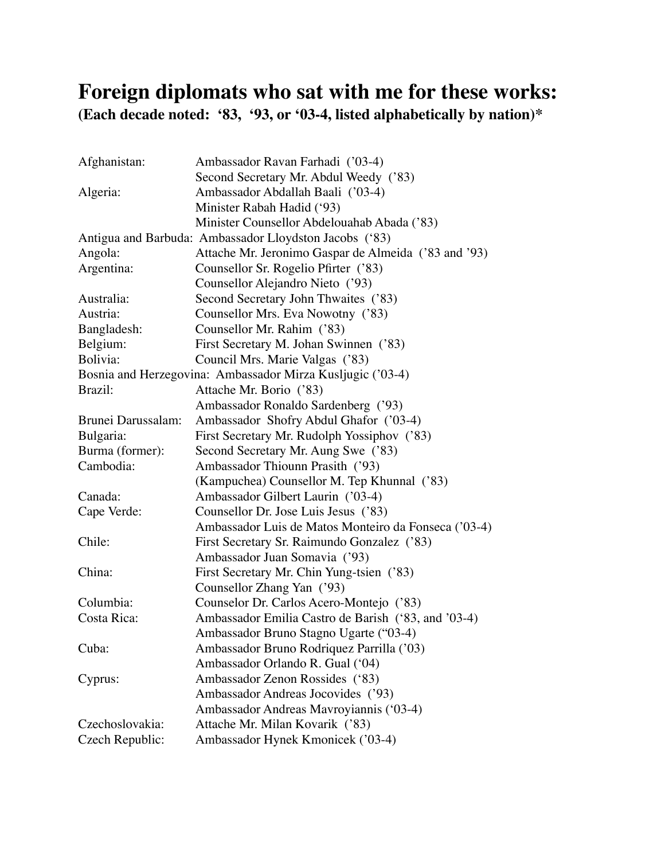## **Foreign diplomats who sat with me for these works: (Each decade noted: '83, '93, or '03-4, listed alphabetically by nation)\***

| Afghanistan:                                               | Ambassador Ravan Farhadi ('03-4)                       |  |
|------------------------------------------------------------|--------------------------------------------------------|--|
|                                                            | Second Secretary Mr. Abdul Weedy ('83)                 |  |
| Algeria:                                                   | Ambassador Abdallah Baali ('03-4)                      |  |
|                                                            | Minister Rabah Hadid ('93)                             |  |
|                                                            | Minister Counsellor Abdelouahab Abada ('83)            |  |
|                                                            | Antigua and Barbuda: Ambassador Lloydston Jacobs ('83) |  |
| Angola:                                                    | Attache Mr. Jeronimo Gaspar de Almeida ('83 and '93)   |  |
| Argentina:                                                 | Counsellor Sr. Rogelio Pfirter ('83)                   |  |
|                                                            | Counsellor Alejandro Nieto ('93)                       |  |
| Australia:                                                 | Second Secretary John Thwaites ('83)                   |  |
| Austria:                                                   | Counsellor Mrs. Eva Nowotny ('83)                      |  |
| Bangladesh:                                                | Counsellor Mr. Rahim ('83)                             |  |
| Belgium:                                                   | First Secretary M. Johan Swinnen ('83)                 |  |
| Bolivia:                                                   | Council Mrs. Marie Valgas ('83)                        |  |
| Bosnia and Herzegovina: Ambassador Mirza Kusljugic ('03-4) |                                                        |  |
| Brazil:                                                    | Attache Mr. Borio ('83)                                |  |
|                                                            | Ambassador Ronaldo Sardenberg ('93)                    |  |
| Brunei Darussalam:                                         | Ambassador Shofry Abdul Ghafor ('03-4)                 |  |
| Bulgaria:                                                  | First Secretary Mr. Rudolph Yossiphov ('83)            |  |
| Burma (former):                                            | Second Secretary Mr. Aung Swe ('83)                    |  |
| Cambodia:                                                  | Ambassador Thiounn Prasith ('93)                       |  |
|                                                            | (Kampuchea) Counsellor M. Tep Khunnal ('83)            |  |
| Canada:                                                    | Ambassador Gilbert Laurin ('03-4)                      |  |
| Cape Verde:                                                | Counsellor Dr. Jose Luis Jesus ('83)                   |  |
|                                                            | Ambassador Luis de Matos Monteiro da Fonseca ('03-4)   |  |
| Chile:                                                     | First Secretary Sr. Raimundo Gonzalez ('83)            |  |
|                                                            | Ambassador Juan Somavia ('93)                          |  |
| China:                                                     | First Secretary Mr. Chin Yung-tsien ('83)              |  |
|                                                            | Counsellor Zhang Yan ('93)                             |  |
| Columbia:                                                  | Counselor Dr. Carlos Acero-Montejo ('83)               |  |
| Costa Rica:                                                | Ambassador Emilia Castro de Barish ('83, and '03-4)    |  |
|                                                            | Ambassador Bruno Stagno Ugarte ("03-4)                 |  |
| Cuba:                                                      | Ambassador Bruno Rodriquez Parrilla ('03)              |  |
|                                                            | Ambassador Orlando R. Gual ('04)                       |  |
| Cyprus:                                                    | Ambassador Zenon Rossides ('83)                        |  |
|                                                            | Ambassador Andreas Jocovides ('93)                     |  |
|                                                            | Ambassador Andreas Mavroyiannis ('03-4)                |  |
| Czechoslovakia:                                            | Attache Mr. Milan Kovarik ('83)                        |  |
| Czech Republic:                                            | Ambassador Hynek Kmonicek ('03-4)                      |  |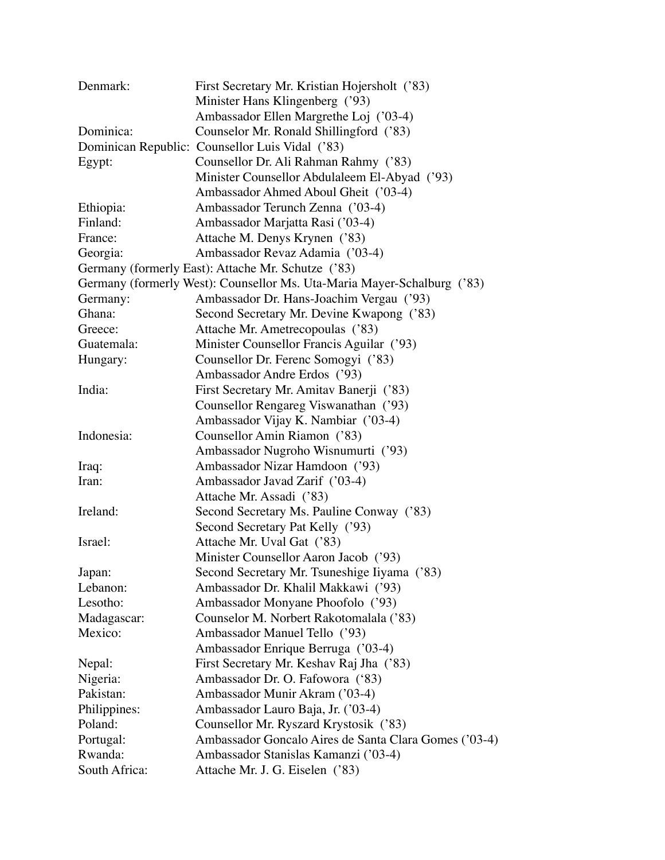| Denmark:           | First Secretary Mr. Kristian Hojersholt ('83)                           |
|--------------------|-------------------------------------------------------------------------|
|                    | Minister Hans Klingenberg ('93)                                         |
|                    | Ambassador Ellen Margrethe Loj ('03-4)                                  |
| Dominica:          | Counselor Mr. Ronald Shillingford ('83)                                 |
|                    | Dominican Republic: Counsellor Luis Vidal ('83)                         |
| Egypt:             | Counsellor Dr. Ali Rahman Rahmy ('83)                                   |
|                    | Minister Counsellor Abdulaleem El-Abyad ('93)                           |
|                    | Ambassador Ahmed Aboul Gheit ('03-4)                                    |
| Ethiopia:          | Ambassador Terunch Zenna ('03-4)                                        |
| Finland:           | Ambassador Marjatta Rasi ('03-4)                                        |
| France:            | Attache M. Denys Krynen ('83)                                           |
| Georgia:           | Ambassador Revaz Adamia ('03-4)                                         |
|                    | Germany (formerly East): Attache Mr. Schutze ('83)                      |
|                    | Germany (formerly West): Counsellor Ms. Uta-Maria Mayer-Schalburg ('83) |
| Germany:           | Ambassador Dr. Hans-Joachim Vergau ('93)                                |
| Ghana:             | Second Secretary Mr. Devine Kwapong ('83)                               |
| Greece:            | Attache Mr. Ametrecopoulas ('83)                                        |
| Guatemala:         | Minister Counsellor Francis Aguilar ('93)                               |
| Hungary:           | Counsellor Dr. Ferenc Somogyi ('83)                                     |
|                    | Ambassador Andre Erdos ('93)                                            |
| India:             | First Secretary Mr. Amitav Banerji ('83)                                |
|                    | Counsellor Rengareg Viswanathan ('93)                                   |
|                    | Ambassador Vijay K. Nambiar ('03-4)                                     |
| Indonesia:         | Counsellor Amin Riamon ('83)                                            |
|                    | Ambassador Nugroho Wisnumurti ('93)                                     |
| Iraq:              | Ambassador Nizar Hamdoon ('93)                                          |
| Iran:              | Ambassador Javad Zarif ('03-4)                                          |
|                    | Attache Mr. Assadi ('83)                                                |
| Ireland:           | Second Secretary Ms. Pauline Conway ('83)                               |
|                    | Second Secretary Pat Kelly ('93)                                        |
| Israel:            | Attache Mr. Uval Gat ('83)                                              |
|                    | Minister Counsellor Aaron Jacob ('93)                                   |
|                    |                                                                         |
| Japan:<br>Lebanon: | Second Secretary Mr. Tsuneshige Iiyama ('83)                            |
| Lesotho:           | Ambassador Dr. Khalil Makkawi ('93)                                     |
|                    | Ambassador Monyane Phoofolo ('93)                                       |
| Madagascar:        | Counselor M. Norbert Rakotomalala ('83)                                 |
| Mexico:            | Ambassador Manuel Tello ('93)                                           |
|                    | Ambassador Enrique Berruga ('03-4)                                      |
| Nepal:             | First Secretary Mr. Keshav Raj Jha ('83)                                |
| Nigeria:           | Ambassador Dr. O. Fafowora ('83)                                        |
| Pakistan:          | Ambassador Munir Akram ('03-4)                                          |
| Philippines:       | Ambassador Lauro Baja, Jr. ('03-4)                                      |
| Poland:            | Counsellor Mr. Ryszard Krystosik ('83)                                  |
| Portugal:          | Ambassador Goncalo Aires de Santa Clara Gomes ('03-4)                   |
| Rwanda:            | Ambassador Stanislas Kamanzi ('03-4)                                    |
| South Africa:      | Attache Mr. J. G. Eiselen ('83)                                         |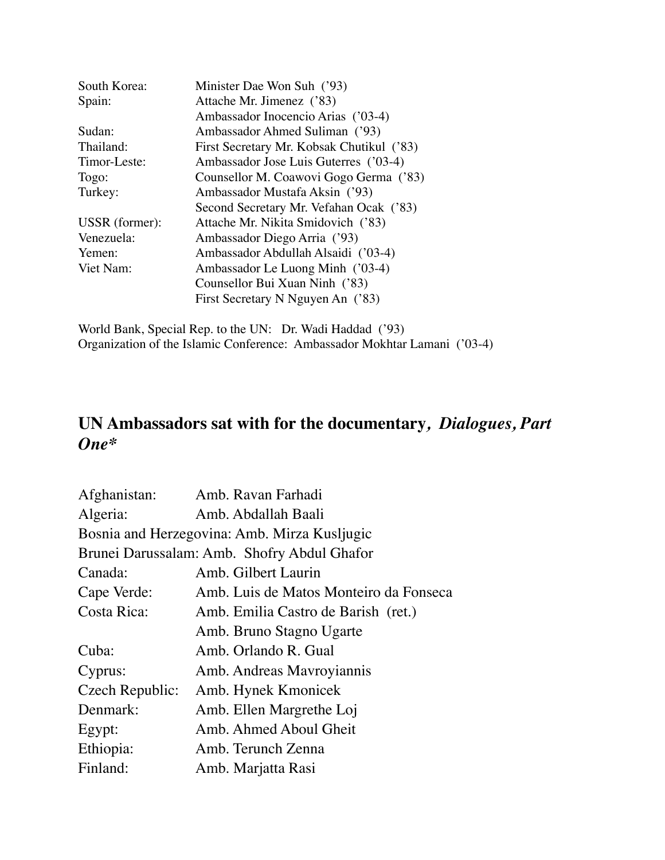| South Korea:   | Minister Dae Won Suh ('93)                |
|----------------|-------------------------------------------|
| Spain:         | Attache Mr. Jimenez ('83)                 |
|                | Ambassador Inocencio Arias ('03-4)        |
| Sudan:         | Ambassador Ahmed Suliman ('93)            |
| Thailand:      | First Secretary Mr. Kobsak Chutikul ('83) |
| Timor-Leste:   | Ambassador Jose Luis Guterres ('03-4)     |
| Togo:          | Counsellor M. Coawovi Gogo Germa ('83)    |
| Turkey:        | Ambassador Mustafa Aksin ('93)            |
|                | Second Secretary Mr. Vefahan Ocak ('83)   |
| USSR (former): | Attache Mr. Nikita Smidovich ('83)        |
| Venezuela:     | Ambassador Diego Arria ('93)              |
| Yemen:         | Ambassador Abdullah Alsaidi ('03-4)       |
| Viet Nam:      | Ambassador Le Luong Minh ('03-4)          |
|                | Counsellor Bui Xuan Ninh ('83)            |
|                | First Secretary N Nguyen An ('83)         |
|                |                                           |

World Bank, Special Rep. to the UN: Dr. Wadi Haddad ('93) Organization of the Islamic Conference: Ambassador Mokhtar Lamani ('03-4)

## **UN Ambassadors sat with for the documentary***, Dialogues, Part One\**

| Afghanistan:                                 | Amb. Ravan Farhadi                     |  |  |
|----------------------------------------------|----------------------------------------|--|--|
| Algeria:                                     | Amb. Abdallah Baali                    |  |  |
| Bosnia and Herzegovina: Amb. Mirza Kusljugic |                                        |  |  |
| Brunei Darussalam: Amb. Shofry Abdul Ghafor  |                                        |  |  |
| Canada:                                      | Amb. Gilbert Laurin                    |  |  |
| Cape Verde:                                  | Amb. Luis de Matos Monteiro da Fonseca |  |  |
| Costa Rica:                                  | Amb. Emilia Castro de Barish (ret.)    |  |  |
|                                              | Amb. Bruno Stagno Ugarte               |  |  |
| Cuba:                                        | Amb. Orlando R. Gual                   |  |  |
| Cyprus:                                      | Amb. Andreas Mavroyiannis              |  |  |
| Czech Republic:                              | Amb. Hynek Kmonicek                    |  |  |
| Denmark:                                     | Amb. Ellen Margrethe Loj               |  |  |
| Egypt:                                       | Amb. Ahmed Aboul Gheit                 |  |  |
| Ethiopia:                                    | Amb. Terunch Zenna                     |  |  |
| Finland:                                     | Amb. Marjatta Rasi                     |  |  |